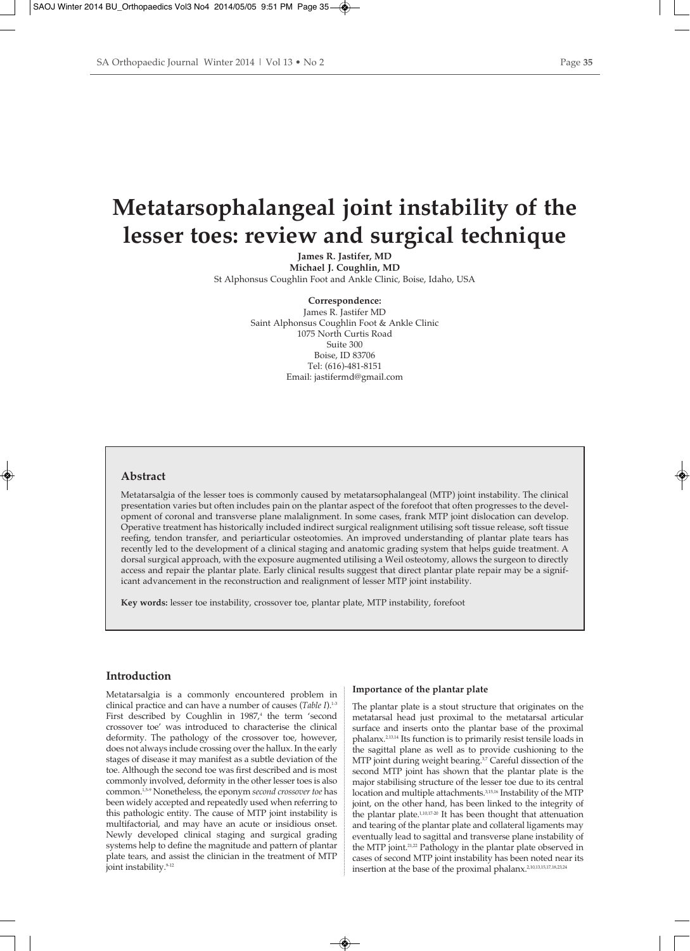# **Metatarsophalangeal joint instability of the lesser toes: review and surgical technique**

**James R. Jastifer, MD Michael J. Coughlin, MD** St Alphonsus Coughlin Foot and Ankle Clinic, Boise, Idaho, USA

**Correspondence:**

James R. Jastifer MD Saint Alphonsus Coughlin Foot & Ankle Clinic 1075 North Curtis Road Suite 300 Boise, ID 83706 Tel: (616)-481-8151 Email: jastifermd@gmail.com

#### **Abstract**

Metatarsalgia of the lesser toes is commonly caused by metatarsophalangeal (MTP) joint instability. The clinical presentation varies but often includes pain on the plantar aspect of the forefoot that often progresses to the development of coronal and transverse plane malalignment. In some cases, frank MTP joint dislocation can develop. Operative treatment has historically included indirect surgical realignment utilising soft tissue release, soft tissue reefing, tendon transfer, and periarticular osteotomies. An improved understanding of plantar plate tears has recently led to the development of a clinical staging and anatomic grading system that helps guide treatment. A dorsal surgical approach, with the exposure augmented utilising a Weil osteotomy, allows the surgeon to directly access and repair the plantar plate. Early clinical results suggest that direct plantar plate repair may be a significant advancement in the reconstruction and realignment of lesser MTP joint instability.

**Key words:** lesser toe instability, crossover toe, plantar plate, MTP instability, forefoot

## **Introduction**

Metatarsalgia is a commonly encountered problem in clinical practice and can have a number of causes (*Table I*).1-3 First described by Coughlin in  $1987<sup>4</sup>$  the term 'second crossover toe' was introduced to characterise the clinical deformity. The pathology of the crossover toe, however, does not always include crossing over the hallux. In the early stages of disease it may manifest as a subtle deviation of the toe. Although the second toe was first described and is most commonly involved, deformity in the other lesser toes is also common.1,5-9 Nonetheless, the eponym *second crossover toe* has been widely accepted and repeatedly used when referring to this pathologic entity. The cause of MTP joint instability is multifactorial, and may have an acute or insidious onset. Newly developed clinical staging and surgical grading systems help to define the magnitude and pattern of plantar plate tears, and assist the clinician in the treatment of MTP joint instability.<sup>9-12</sup>

#### **Importance of the plantar plate**

The plantar plate is a stout structure that originates on the metatarsal head just proximal to the metatarsal articular surface and inserts onto the plantar base of the proximal phalanx.2,13,14 Its function is to primarily resist tensile loads in the sagittal plane as well as to provide cushioning to the MTP joint during weight bearing.<sup>37</sup> Careful dissection of the second MTP joint has shown that the plantar plate is the major stabilising structure of the lesser toe due to its central location and multiple attachments.3,15,16 Instability of the MTP joint, on the other hand, has been linked to the integrity of the plantar plate.<sup>1,10,17-20</sup> It has been thought that attenuation and tearing of the plantar plate and collateral ligaments may eventually lead to sagittal and transverse plane instability of the MTP joint.<sup>21,22</sup> Pathology in the plantar plate observed in cases of second MTP joint instability has been noted near its insertion at the base of the proximal phalanx.2,10,13,15,17,18,23,24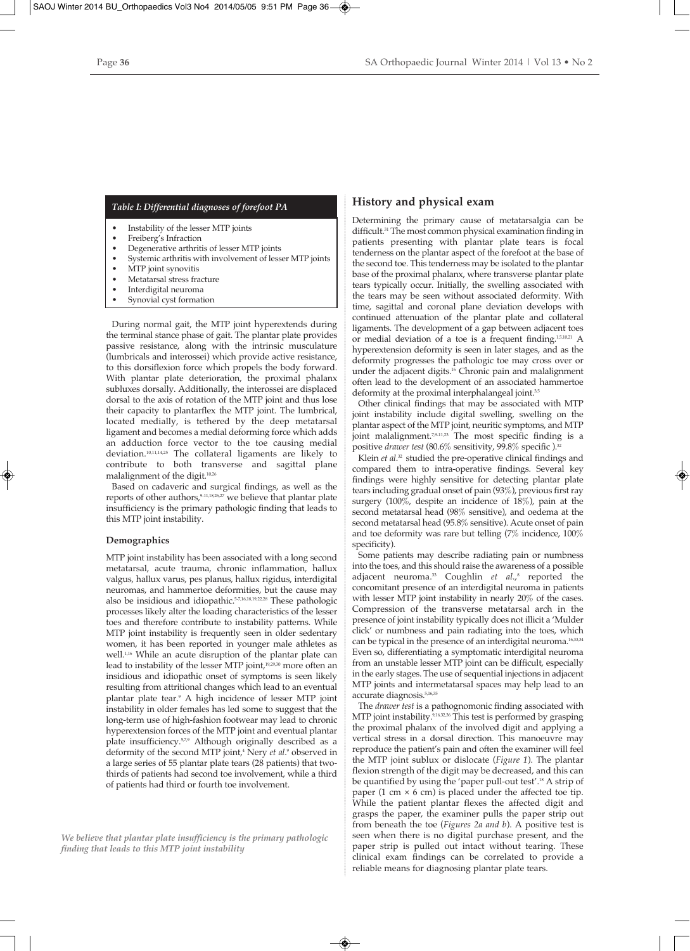## *Table I: Differential diagnoses of forefoot PA*

- Instability of the lesser MTP joints
- Freiberg's Infraction
- Degenerative arthritis of lesser MTP joints
- Systemic arthritis with involvement of lesser MTP joints
- MTP joint synovitis
- Metatarsal stress fracture
- Interdigital neuroma
- Synovial cyst formation

During normal gait, the MTP joint hyperextends during the terminal stance phase of gait. The plantar plate provides passive resistance, along with the intrinsic musculature (lumbricals and interossei) which provide active resistance, to this dorsiflexion force which propels the body forward. With plantar plate deterioration, the proximal phalanx subluxes dorsally. Additionally, the interossei are displaced dorsal to the axis of rotation of the MTP joint and thus lose their capacity to plantarflex the MTP joint. The lumbrical, located medially, is tethered by the deep metatarsal ligament and becomes a medial deforming force which adds an adduction force vector to the toe causing medial deviation.10,11,14,25 The collateral ligaments are likely to contribute to both transverse and sagittal plane malalignment of the digit.10,26

Based on cadaveric and surgical findings, as well as the reports of other authors, <sup>9-11,18,26,27</sup> we believe that plantar plate insufficiency is the primary pathologic finding that leads to this MTP joint instability.

#### **Demographics**

MTP joint instability has been associated with a long second metatarsal, acute trauma, chronic inflammation, hallux valgus, hallux varus, pes planus, hallux rigidus, interdigital neuromas, and hammertoe deformities, but the cause may also be insidious and idiopathic.5-7,16,18,19,22,28 These pathologic processes likely alter the loading characteristics of the lesser toes and therefore contribute to instability patterns. While MTP joint instability is frequently seen in older sedentary women, it has been reported in younger male athletes as well.1,16 While an acute disruption of the plantar plate can lead to instability of the lesser MTP joint,<sup>19,29,30</sup> more often an insidious and idiopathic onset of symptoms is seen likely resulting from attritional changes which lead to an eventual plantar plate tear.9 A high incidence of lesser MTP joint instability in older females has led some to suggest that the long-term use of high-fashion footwear may lead to chronic hyperextension forces of the MTP joint and eventual plantar plate insufficiency.<sup>5,7,9</sup> Although originally described as a deformity of the second MTP joint,<sup>4</sup> Nery *et al.*<sup>9</sup> observed in a large series of 55 plantar plate tears (28 patients) that twothirds of patients had second toe involvement, while a third of patients had third or fourth toe involvement.

*We believe that plantar plate insufficiency is the primary pathologic finding that leads to this MTP joint instability*

### **History and physical exam**

Determining the primary cause of metatarsalgia can be difficult.31 The most common physical examination finding in patients presenting with plantar plate tears is focal tenderness on the plantar aspect of the forefoot at the base of the second toe. This tenderness may be isolated to the plantar base of the proximal phalanx, where transverse plantar plate tears typically occur. Initially, the swelling associated with the tears may be seen without associated deformity. With time, sagittal and coronal plane deviation develops with continued attenuation of the plantar plate and collateral ligaments. The development of a gap between adjacent toes or medial deviation of a toe is a frequent finding.<sup>1,5,10,21</sup> A hyperextension deformity is seen in later stages, and as the deformity progresses the pathologic toe may cross over or under the adjacent digits.<sup>16</sup> Chronic pain and malalignment often lead to the development of an associated hammertoe deformity at the proximal interphalangeal joint.<sup>3,5</sup>

Other clinical findings that may be associated with MTP joint instability include digital swelling, swelling on the plantar aspect of the MTP joint, neuritic symptoms, and MTP joint malalignment.<sup>7,9-11,23</sup> The most specific finding is a positive *drawer test* (80.6% sensitivity, 99.8% specific ).<sup>32</sup>

Klein *et al*. 32 studied the pre-operative clinical findings and compared them to intra-operative findings. Several key findings were highly sensitive for detecting plantar plate tears including gradual onset of pain (93%), previous first ray surgery (100%, despite an incidence of 18%), pain at the second metatarsal head (98% sensitive), and oedema at the second metatarsal head (95.8% sensitive). Acute onset of pain and toe deformity was rare but telling (7% incidence, 100% specificity).

Some patients may describe radiating pain or numbness into the toes, and this should raise the awareness of a possible adjacent neuroma.<sup>33</sup> Coughlin et al.,<sup>8</sup> reported the concomitant presence of an interdigital neuroma in patients with lesser MTP joint instability in nearly 20% of the cases. Compression of the transverse metatarsal arch in the presence of joint instability typically does not illicit a 'Mulder click' or numbness and pain radiating into the toes, which can be typical in the presence of an interdigital neuroma.<sup>16,33,34</sup> Even so, differentiating a symptomatic interdigital neuroma from an unstable lesser MTP joint can be difficult, especially in the early stages. The use of sequential injections in adjacent MTP joints and intermetatarsal spaces may help lead to an accurate diagnosis.<sup>5,16,3</sup>

The *drawer test* is a pathognomonic finding associated with MTP joint instability.<sup>9,16,32,36</sup> This test is performed by grasping the proximal phalanx of the involved digit and applying a vertical stress in a dorsal direction. This manoeuvre may reproduce the patient's pain and often the examiner will feel the MTP joint sublux or dislocate (*Figure 1*). The plantar flexion strength of the digit may be decreased, and this can be quantified by using the 'paper pull-out test'.18 A strip of paper (1 cm  $\times$  6 cm) is placed under the affected toe tip. While the patient plantar flexes the affected digit and grasps the paper, the examiner pulls the paper strip out from beneath the toe (*Figures 2a and b*). A positive test is seen when there is no digital purchase present, and the paper strip is pulled out intact without tearing. These clinical exam findings can be correlated to provide a reliable means for diagnosing plantar plate tears.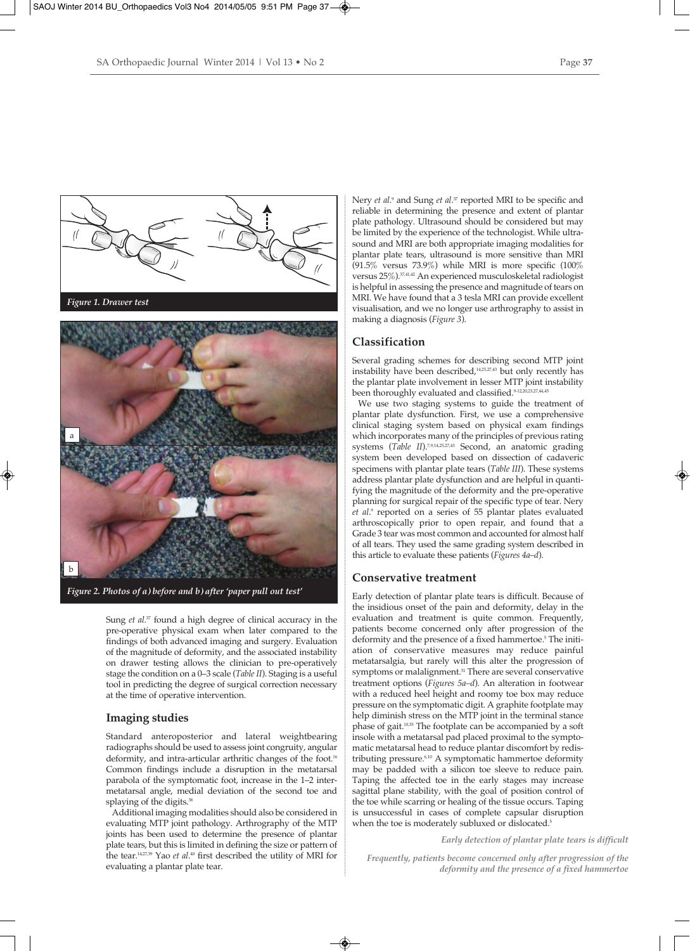



*Figure 2. Photos of a) before and b) after 'paper pull out test'*

Sung *et al*. <sup>37</sup> found a high degree of clinical accuracy in the pre-operative physical exam when later compared to the findings of both advanced imaging and surgery. Evaluation of the magnitude of deformity, and the associated instability on drawer testing allows the clinician to pre-operatively stage the condition on a 0–3 scale (*Table II*). Staging is a useful tool in predicting the degree of surgical correction necessary at the time of operative intervention.

## **Imaging studies**

Standard anteroposterior and lateral weightbearing radiographs should be used to assess joint congruity, angular deformity, and intra-articular arthritic changes of the foot.<sup>16</sup> Common findings include a disruption in the metatarsal parabola of the symptomatic foot, increase in the 1–2 intermetatarsal angle, medial deviation of the second toe and splaying of the digits.<sup>38</sup>

Additional imaging modalities should also be considered in evaluating MTP joint pathology. Arthrography of the MTP joints has been used to determine the presence of plantar plate tears, but this is limited in defining the size or pattern of the tear.<sup>14,27,39</sup> Yao *et al*.<sup>40</sup> first described the utility of MRI for evaluating a plantar plate tear.

Nery *et al*. <sup>9</sup> and Sung *et al*. <sup>37</sup> reported MRI to be specific and reliable in determining the presence and extent of plantar plate pathology. Ultrasound should be considered but may be limited by the experience of the technologist. While ultrasound and MRI are both appropriate imaging modalities for plantar plate tears, ultrasound is more sensitive than MRI  $(91.5\%$  versus 73.9%) while MRI is more specific  $(100\%$ versus 25%).37,41,42 An experienced musculoskeletal radiologist is helpful in assessing the presence and magnitude of tears on MRI. We have found that a 3 tesla MRI can provide excellent visualisation, and we no longer use arthrography to assist in making a diagnosis (*Figure 3*).

## **Classification**

Several grading schemes for describing second MTP joint instability have been described,<sup>14,25,27,43</sup> but only recently has the plantar plate involvement in lesser MTP joint instability been thoroughly evaluated and classified.<sup>9-12,20,23,27,44,45</sup>

We use two staging systems to guide the treatment of plantar plate dysfunction. First, we use a comprehensive clinical staging system based on physical exam findings which incorporates many of the principles of previous rating systems (*Table II*).<sup>7,9,14,25,27,43</sup> Second, an anatomic grading system been developed based on dissection of cadaveric specimens with plantar plate tears (*Table III*). These systems address plantar plate dysfunction and are helpful in quantifying the magnitude of the deformity and the pre-operative planning for surgical repair of the specific type of tear. Nery *et al*. <sup>9</sup> reported on a series of 55 plantar plates evaluated arthroscopically prior to open repair, and found that a Grade 3 tear was most common and accounted for almost half of all tears. They used the same grading system described in this article to evaluate these patients (*Figures 4a–d*).

### **Conservative treatment**

Early detection of plantar plate tears is difficult. Because of the insidious onset of the pain and deformity, delay in the evaluation and treatment is quite common. Frequently, patients become concerned only after progression of the deformity and the presence of a fixed hammertoe.<sup>5</sup> The initiation of conservative measures may reduce painful metatarsalgia, but rarely will this alter the progression of symptoms or malalignment.<sup>31</sup> There are several conservative treatment options (*Figures 5a–d*). An alteration in footwear with a reduced heel height and roomy toe box may reduce pressure on the symptomatic digit. A graphite footplate may help diminish stress on the MTP joint in the terminal stance phase of gait.10,35 The footplate can be accompanied by a soft insole with a metatarsal pad placed proximal to the symptomatic metatarsal head to reduce plantar discomfort by redistributing pressure.6,10 A symptomatic hammertoe deformity may be padded with a silicon toe sleeve to reduce pain. Taping the affected toe in the early stages may increase sagittal plane stability, with the goal of position control of the toe while scarring or healing of the tissue occurs. Taping is unsuccessful in cases of complete capsular disruption when the toe is moderately subluxed or dislocated.<sup>5</sup>

*Early detection of plantar plate tears is difficult*

*Frequently, patients become concerned only after progression of the deformity and the presence of a fixed hammertoe*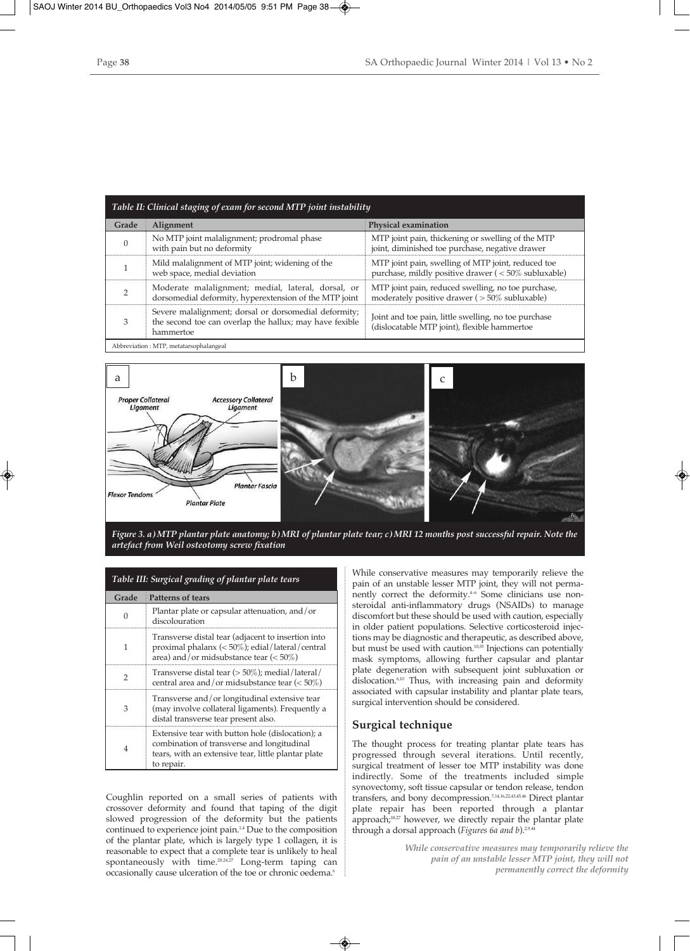| Table II: Clinical staging of exam for second MTP joint instability |                                                                                                                               |                                                                                                          |
|---------------------------------------------------------------------|-------------------------------------------------------------------------------------------------------------------------------|----------------------------------------------------------------------------------------------------------|
| Grade                                                               | Alignment                                                                                                                     | <b>Physical examination</b>                                                                              |
| $\Omega$                                                            | No MTP joint malalignment; prodromal phase<br>with pain but no deformity                                                      | MTP joint pain, thickening or swelling of the MTP<br>joint, diminished toe purchase, negative drawer     |
|                                                                     | Mild malalignment of MTP joint; widening of the<br>web space, medial deviation                                                | MTP joint pain, swelling of MTP joint, reduced toe<br>purchase, mildly positive drawer (<50% subluxable) |
|                                                                     | Moderate malalignment; medial, lateral, dorsal, or<br>dorsomedial deformity, hyperextension of the MTP joint                  | MTP joint pain, reduced swelling, no toe purchase,<br>moderately positive drawer ( $>50\%$ subluxable)   |
|                                                                     | Severe malalignment; dorsal or dorsomedial deformity;<br>the second toe can overlap the hallux; may have fexible<br>hammertoe | Joint and toe pain, little swelling, no toe purchase<br>(dislocatable MTP joint), flexible hammertoe     |
| Abbreviation: MTP, metatarsophalangeal                              |                                                                                                                               |                                                                                                          |



*Figure 3. a) MTP plantar plate anatomy; b) MRI of plantar plate tear; c) MRI 12 months post successful repair. Note the artefact from Weil osteotomy screw fixation*

| Table III: Surgical grading of plantar plate tears |                                                                                                                                                                     |  |
|----------------------------------------------------|---------------------------------------------------------------------------------------------------------------------------------------------------------------------|--|
| Grade                                              | <b>Patterns of tears</b>                                                                                                                                            |  |
| $\cap$                                             | Plantar plate or capsular attenuation, and/or<br>discolouration                                                                                                     |  |
| 1                                                  | Transverse distal tear (adjacent to insertion into<br>proximal phalanx (< 50%); edial/lateral/central<br>area) and/or midsubstance tear $(<50\%)$                   |  |
| $\overline{2}$                                     | Transverse distal tear (> 50%); medial/lateral/<br>central area and/or midsubstance tear $\left( < 50\% \right)$                                                    |  |
| 3                                                  | Transverse and/or longitudinal extensive tear<br>(may involve collateral ligaments). Frequently a<br>distal transverse tear present also.                           |  |
| $\overline{4}$                                     | Extensive tear with button hole (dislocation); a<br>combination of transverse and longitudinal<br>tears, with an extensive tear, little plantar plate<br>to repair. |  |

Coughlin reported on a small series of patients with crossover deformity and found that taping of the digit slowed progression of the deformity but the patients continued to experience joint pain.1,4 Due to the composition of the plantar plate, which is largely type 1 collagen, it is reasonable to expect that a complete tear is unlikely to heal spontaneously with time. $20,24,27$  Long-term taping can occasionally cause ulceration of the toe or chronic oedema.<sup>6</sup>

While conservative measures may temporarily relieve the pain of an unstable lesser MTP joint, they will not permanently correct the deformity.<sup>46</sup> Some clinicians use nonsteroidal anti-inflammatory drugs (NSAIDs) to manage discomfort but these should be used with caution, especially in older patient populations. Selective corticosteroid injections may be diagnostic and therapeutic, as described above, but must be used with caution.<sup>10,35</sup> Injections can potentially mask symptoms, allowing further capsular and plantar plate degeneration with subsequent joint subluxation or dislocation.<sup>6,10</sup> Thus, with increasing pain and deformity associated with capsular instability and plantar plate tears, surgical intervention should be considered.

## **Surgical technique**

The thought process for treating plantar plate tears has progressed through several iterations. Until recently, surgical treatment of lesser toe MTP instability was done indirectly. Some of the treatments included simple synovectomy, soft tissue capsular or tendon release, tendon transfers, and bony decompression.7,14,16,22,43,45,46 Direct plantar plate repair has been reported through a plantar approach;<sup>18,27</sup> however, we directly repair the plantar plate through a dorsal approach (*Figures 6a and b*).<sup>2,9,44</sup>

> *While conservative measures may temporarily relieve the pain of an unstable lesser MTP joint, they will not permanently correct the deformity*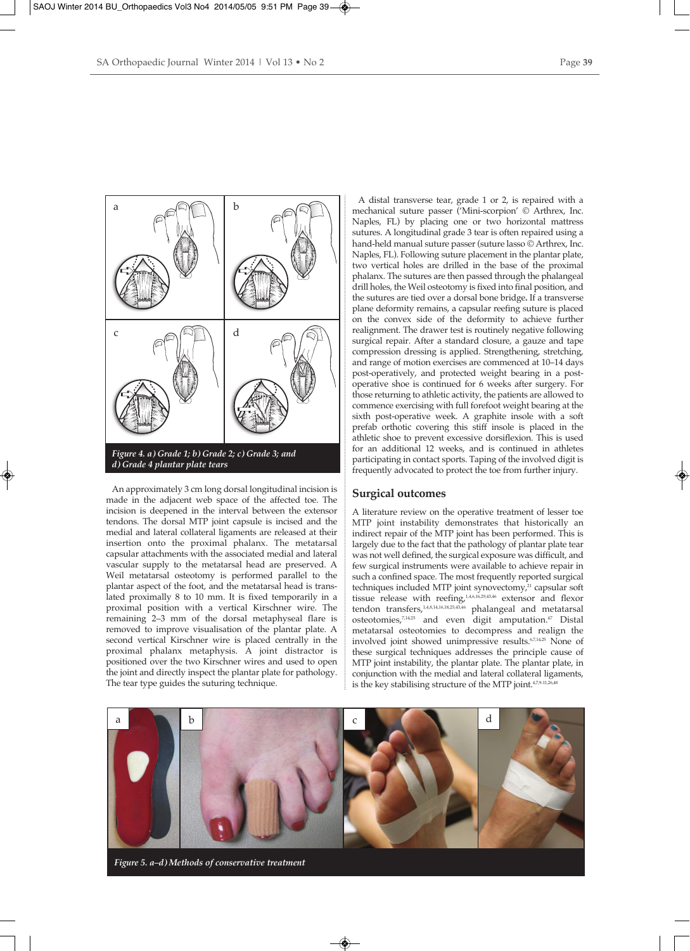

An approximately 3 cm long dorsal longitudinal incision is made in the adjacent web space of the affected toe. The incision is deepened in the interval between the extensor tendons. The dorsal MTP joint capsule is incised and the medial and lateral collateral ligaments are released at their insertion onto the proximal phalanx. The metatarsal capsular attachments with the associated medial and lateral vascular supply to the metatarsal head are preserved. A Weil metatarsal osteotomy is performed parallel to the plantar aspect of the foot, and the metatarsal head is translated proximally 8 to 10 mm. It is fixed temporarily in a proximal position with a vertical Kirschner wire. The remaining 2–3 mm of the dorsal metaphyseal flare is removed to improve visualisation of the plantar plate. A second vertical Kirschner wire is placed centrally in the proximal phalanx metaphysis. A joint distractor is positioned over the two Kirschner wires and used to open the joint and directly inspect the plantar plate for pathology. The tear type guides the suturing technique.

A distal transverse tear, grade 1 or 2, is repaired with a mechanical suture passer ('Mini-scorpion' © Arthrex, Inc. Naples, FL) by placing one or two horizontal mattress sutures. A longitudinal grade 3 tear is often repaired using a hand-held manual suture passer (suture lasso © Arthrex, Inc. Naples, FL). Following suture placement in the plantar plate, two vertical holes are drilled in the base of the proximal phalanx. The sutures are then passed through the phalangeal drill holes, the Weil osteotomy is fixed into final position, and the sutures are tied over a dorsal bone bridge**.** If a transverse plane deformity remains, a capsular reefing suture is placed on the convex side of the deformity to achieve further realignment. The drawer test is routinely negative following surgical repair. After a standard closure, a gauze and tape compression dressing is applied. Strengthening, stretching, and range of motion exercises are commenced at 10–14 days post-operatively, and protected weight bearing in a postoperative shoe is continued for 6 weeks after surgery. For those returning to athletic activity, the patients are allowed to commence exercising with full forefoot weight bearing at the sixth post-operative week. A graphite insole with a soft prefab orthotic covering this stiff insole is placed in the athletic shoe to prevent excessive dorsiflexion. This is used for an additional 12 weeks, and is continued in athletes participating in contact sports. Taping of the involved digit is frequently advocated to protect the toe from further injury.

#### **Surgical outcomes**

A literature review on the operative treatment of lesser toe MTP joint instability demonstrates that historically an indirect repair of the MTP joint has been performed. This is largely due to the fact that the pathology of plantar plate tear was not well defined, the surgical exposure was difficult, and few surgical instruments were available to achieve repair in such a confined space. The most frequently reported surgical techniques included MTP joint synovectomy,<sup>21</sup> capsular soft tissue release with reefing,<sup>1,4,6,16,29,43,46</sup> extensor and flexor tendon transfers,<sup>1,4,8,14,16,18,25,43,46</sup> phalangeal and metatarsal osteotomies,7,14,25 and even digit amputation.47 Distal metatarsal osteotomies to decompress and realign the involved joint showed unimpressive results.6,7,14,25 None of these surgical techniques addresses the principle cause of MTP joint instability, the plantar plate. The plantar plate, in conjunction with the medial and lateral collateral ligaments, is the key stabilising structure of the MTP joint.<sup>4,7,9-11,26</sup>

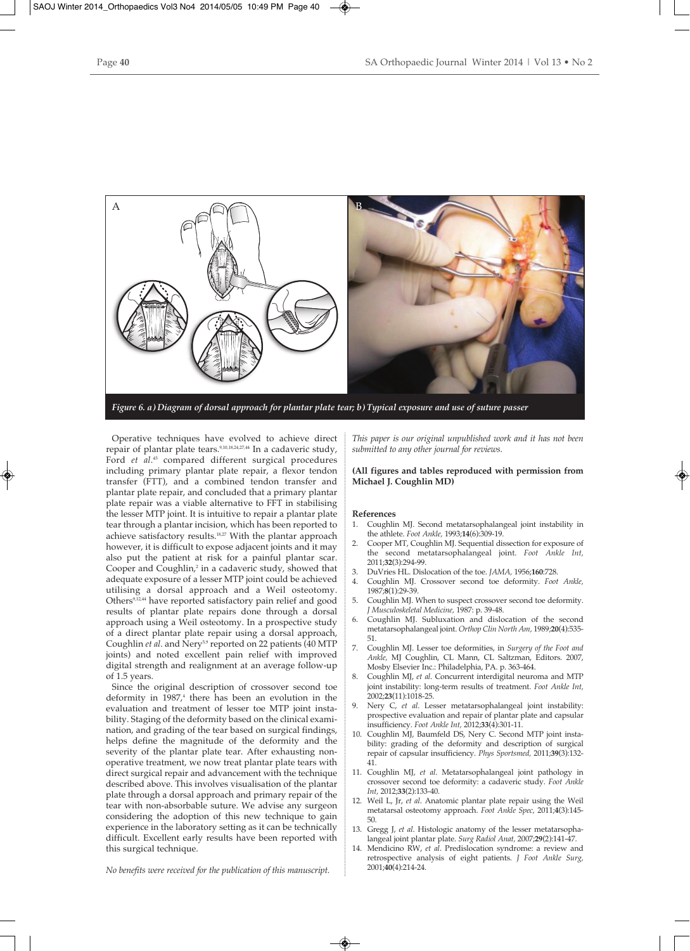

Operative techniques have evolved to achieve direct repair of plantar plate tears.9,10,18,24,27,44 In a cadaveric study, Ford *et al*. <sup>45</sup> compared different surgical procedures including primary plantar plate repair, a flexor tendon transfer (FTT), and a combined tendon transfer and plantar plate repair, and concluded that a primary plantar plate repair was a viable alternative to FFT in stabilising the lesser MTP joint. It is intuitive to repair a plantar plate tear through a plantar incision, which has been reported to achieve satisfactory results.18,27 With the plantar approach however, it is difficult to expose adjacent joints and it may also put the patient at risk for a painful plantar scar. Cooper and Coughlin,<sup>2</sup> in a cadaveric study, showed that adequate exposure of a lesser MTP joint could be achieved utilising a dorsal approach and a Weil osteotomy. Others<sup>9,12,44</sup> have reported satisfactory pain relief and good results of plantar plate repairs done through a dorsal approach using a Weil osteotomy. In a prospective study of a direct plantar plate repair using a dorsal approach, Coughlin *et al.* and Nery<sup>5,9</sup> reported on 22 patients (40 MTP joints) and noted excellent pain relief with improved digital strength and realignment at an average follow-up of 1.5 years.

Since the original description of crossover second toe deformity in  $1987<sup>4</sup>$  there has been an evolution in the evaluation and treatment of lesser toe MTP joint instability. Staging of the deformity based on the clinical examination, and grading of the tear based on surgical findings, helps define the magnitude of the deformity and the severity of the plantar plate tear. After exhausting nonoperative treatment, we now treat plantar plate tears with direct surgical repair and advancement with the technique described above. This involves visualisation of the plantar plate through a dorsal approach and primary repair of the tear with non-absorbable suture. We advise any surgeon considering the adoption of this new technique to gain experience in the laboratory setting as it can be technically difficult. Excellent early results have been reported with this surgical technique.

*This paper is our original unpublished work and it has not been submitted to any other journal for reviews.*

**(All figures and tables reproduced with permission from Michael J. Coughlin MD)**

#### **References**

- 1. Coughlin MJ. Second metatarsophalangeal joint instability in the athlete. *Foot Ankle,* 1993;**14**(6):309-19.
- 2. Cooper MT, Coughlin MJ. Sequential dissection for exposure of the second metatarsophalangeal joint. *Foot Ankle Int,* 2011;**32**(3):294-99.
- 3. DuVries HL. Dislocation of the toe. *JAMA,* 1956;**160**:728.
- 4. Coughlin MJ. Crossover second toe deformity. *Foot Ankle,* 1987;**8**(1):29-39.
- 5. Coughlin MJ. When to suspect crossover second toe deformity. *J Musculoskeletal Medicine,* 1987: p. 39-48.
- 6. Coughlin MJ. Subluxation and dislocation of the second metatarsophalangeal joint. *Orthop Clin North Am,* 1989;**20**(4):535- 51.
- 7. Coughlin MJ. Lesser toe deformities, in *Surgery of the Foot and Ankle,* MJ Coughlin, CL Mann, CL Saltzman, Editors. 2007, Mosby Elsevier Inc.: Philadelphia, PA. p. 363-464.
- 8. Coughlin MJ, *et al*. Concurrent interdigital neuroma and MTP joint instability: long-term results of treatment. *Foot Ankle Int,* 2002;**23**(11):1018-25.
- Nery C, et al. Lesser metatarsophalangeal joint instability: prospective evaluation and repair of plantar plate and capsular insufficiency. *Foot Ankle Int,* 2012;**33**(4):301-11.
- 10. Coughlin MJ, Baumfeld DS, Nery C. Second MTP joint instability: grading of the deformity and description of surgical repair of capsular insufficiency. *Phys Sportsmed,* 2011;**39**(3):132- 41.
- 11. Coughlin MJ, *et al*. Metatarsophalangeal joint pathology in crossover second toe deformity: a cadaveric study. *Foot Ankle Int,* 2012;**33**(2):133-40.
- 12. Weil L, Jr, *et al*. Anatomic plantar plate repair using the Weil metatarsal osteotomy approach. *Foot Ankle Spec,* 2011;**4**(3):145- 50.
- 13. Gregg J, *et al*. Histologic anatomy of the lesser metatarsophalangeal joint plantar plate. *Surg Radiol Anat,* 2007;**29**(2):141-47.
- 14. Mendicino RW, *et al*. Predislocation syndrome: a review and retrospective analysis of eight patients. *J Foot Ankle Surg,* 2001;**40**(4):214-24.

*No benefits were received for the publication of this manuscript.*